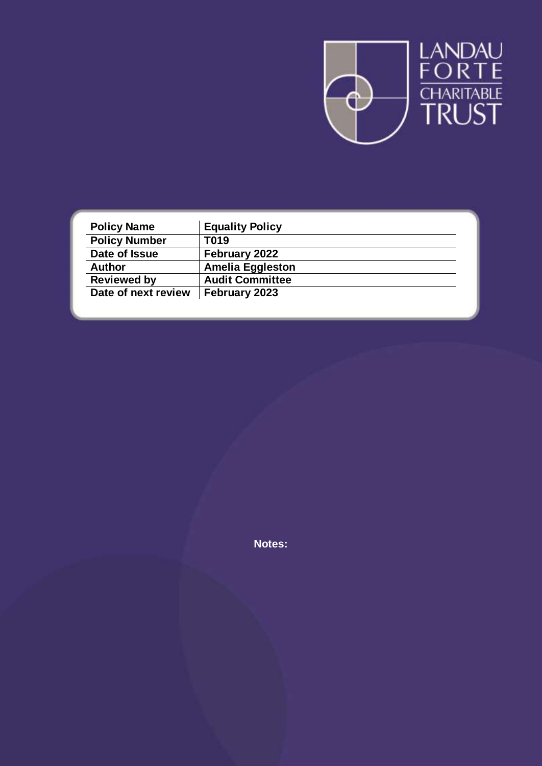

| <b>Policy Name</b>   | <b>Equality Policy</b>  |
|----------------------|-------------------------|
| <b>Policy Number</b> | T019                    |
| Date of Issue        | February 2022           |
| <b>Author</b>        | <b>Amelia Eggleston</b> |
| <b>Reviewed by</b>   | <b>Audit Committee</b>  |
| Date of next review  | February 2023           |

**Notes:**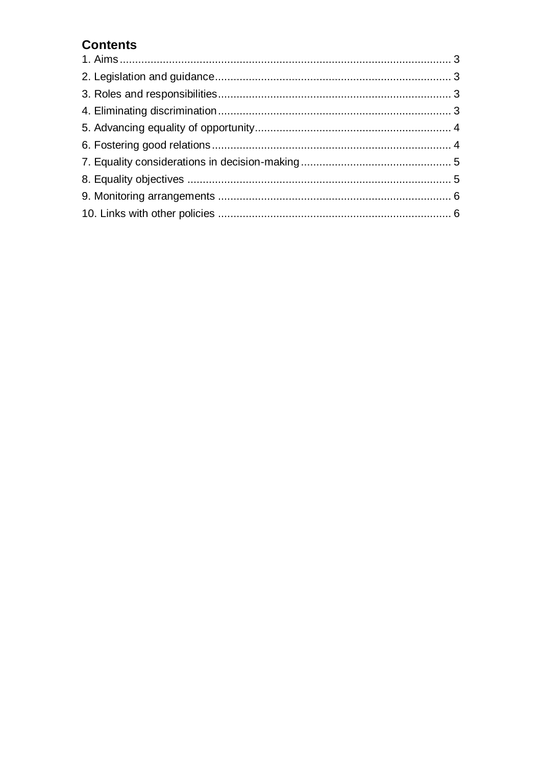# **Contents**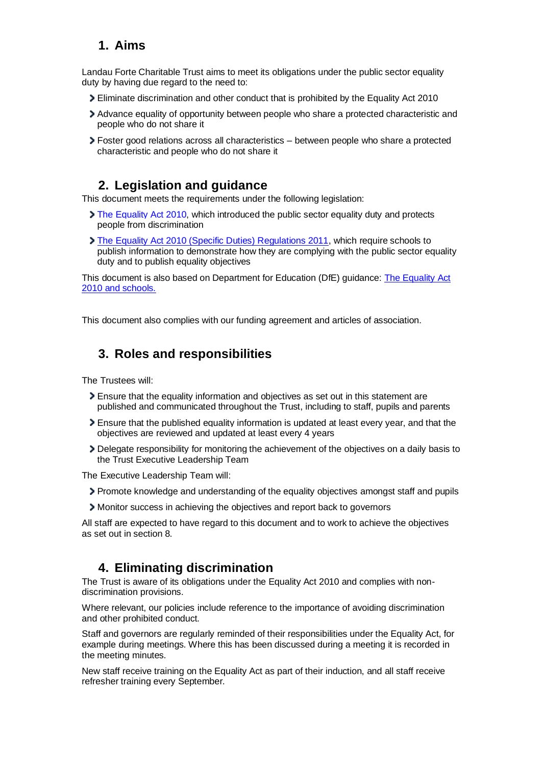## <span id="page-2-0"></span>**1. Aims**

Landau Forte Charitable Trust aims to meet its obligations under the public sector equality duty by having due regard to the need to:

- Eliminate discrimination and other conduct that is prohibited by the Equality Act 2010
- Advance equality of opportunity between people who share a protected characteristic and people who do not share it
- Foster good relations across all characteristics between people who share a protected characteristic and people who do not share it

## **2. Legislation and guidance**

<span id="page-2-1"></span>This document meets the requirements under the following legislation:

- [The Equality Act 2010,](http://www.legislation.gov.uk/ukpga/2010/15/contents) which introduced the public sector equality duty and protects people from discrimination
- [The Equality Act 2010 \(Specific Duties\) Regulations 2011,](http://www.legislation.gov.uk/uksi/2011/2260/contents/made) which require schools to publish information to demonstrate how they are complying with the public sector equality duty and to publish equality objectives

This document is also based on Department for Education (DfE) guidance: [The Equality Act](https://www.gov.uk/government/publications/equality-act-2010-advice-for-schools)  [2010 and schools.](https://www.gov.uk/government/publications/equality-act-2010-advice-for-schools) 

This document also complies with our funding agreement and articles of association.

### <span id="page-2-2"></span>**3. Roles and responsibilities**

The Trustees will:

- Ensure that the equality information and objectives as set out in this statement are published and communicated throughout the Trust, including to staff, pupils and parents
- Ensure that the published equality information is updated at least every year, and that the objectives are reviewed and updated at least every 4 years
- Delegate responsibility for monitoring the achievement of the objectives on a daily basis to the Trust Executive Leadership Team

The Executive Leadership Team will:

- Promote knowledge and understanding of the equality objectives amongst staff and pupils
- Monitor success in achieving the objectives and report back to governors

All staff are expected to have regard to this document and to work to achieve the objectives as set out in section 8.

### **4. Eliminating discrimination**

<span id="page-2-3"></span>The Trust is aware of its obligations under the Equality Act 2010 and complies with nondiscrimination provisions.

Where relevant, our policies include reference to the importance of avoiding discrimination and other prohibited conduct.

Staff and governors are regularly reminded of their responsibilities under the Equality Act, for example during meetings. Where this has been discussed during a meeting it is recorded in the meeting minutes.

New staff receive training on the Equality Act as part of their induction, and all staff receive refresher training every September.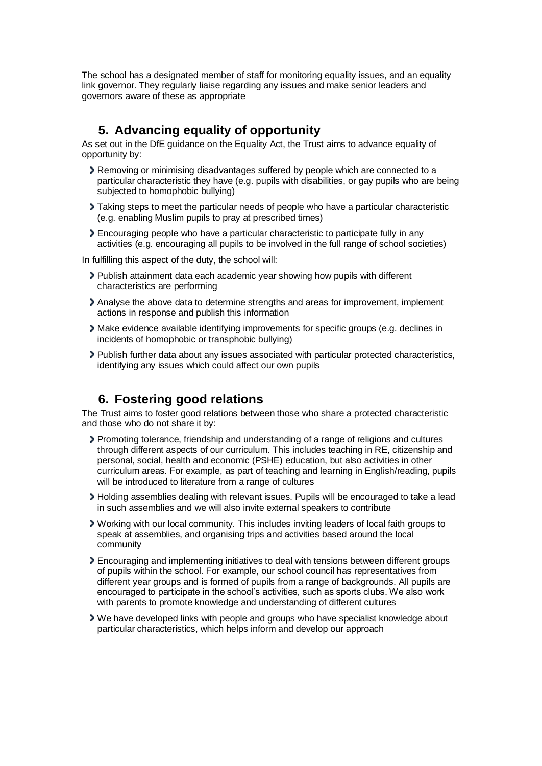The school has a designated member of staff for monitoring equality issues, and an equality link governor. They regularly liaise regarding any issues and make senior leaders and governors aware of these as appropriate

## **5. Advancing equality of opportunity**

<span id="page-3-0"></span>As set out in the DfE guidance on the Equality Act, the Trust aims to advance equality of opportunity by:

- Removing or minimising disadvantages suffered by people which are connected to a particular characteristic they have (e.g. pupils with disabilities, or gay pupils who are being subjected to homophobic bullying)
- Taking steps to meet the particular needs of people who have a particular characteristic (e.g. enabling Muslim pupils to pray at prescribed times)
- Encouraging people who have a particular characteristic to participate fully in any activities (e.g. encouraging all pupils to be involved in the full range of school societies)

In fulfilling this aspect of the duty, the school will:

- Publish attainment data each academic year showing how pupils with different characteristics are performing
- Analyse the above data to determine strengths and areas for improvement, implement actions in response and publish this information
- Make evidence available identifying improvements for specific groups (e.g. declines in incidents of homophobic or transphobic bullying)
- Publish further data about any issues associated with particular protected characteristics, identifying any issues which could affect our own pupils

#### **6. Fostering good relations**

<span id="page-3-1"></span>The Trust aims to foster good relations between those who share a protected characteristic and those who do not share it by:

- Promoting tolerance, friendship and understanding of a range of religions and cultures through different aspects of our curriculum. This includes teaching in RE, citizenship and personal, social, health and economic (PSHE) education, but also activities in other curriculum areas. For example, as part of teaching and learning in English/reading, pupils will be introduced to literature from a range of cultures
- Holding assemblies dealing with relevant issues. Pupils will be encouraged to take a lead in such assemblies and we will also invite external speakers to contribute
- Working with our local community. This includes inviting leaders of local faith groups to speak at assemblies, and organising trips and activities based around the local community
- Encouraging and implementing initiatives to deal with tensions between different groups of pupils within the school. For example, our school council has representatives from different year groups and is formed of pupils from a range of backgrounds. All pupils are encouraged to participate in the school's activities, such as sports clubs. We also work with parents to promote knowledge and understanding of different cultures
- We have developed links with people and groups who have specialist knowledge about particular characteristics, which helps inform and develop our approach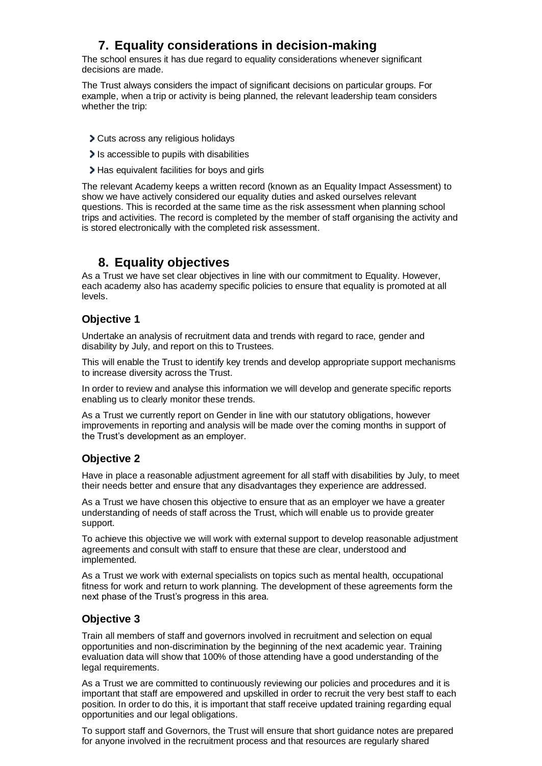## **7. Equality considerations in decision-making**

<span id="page-4-0"></span>The school ensures it has due regard to equality considerations whenever significant decisions are made.

The Trust always considers the impact of significant decisions on particular groups. For example, when a trip or activity is being planned, the relevant leadership team considers whether the trip:

- Cuts across any religious holidays
- Is accessible to pupils with disabilities
- Has equivalent facilities for boys and girls

The relevant Academy keeps a written record (known as an Equality Impact Assessment) to show we have actively considered our equality duties and asked ourselves relevant questions. This is recorded at the same time as the risk assessment when planning school trips and activities. The record is completed by the member of staff organising the activity and is stored electronically with the completed risk assessment.

#### **8. Equality objectives**

<span id="page-4-1"></span>As a Trust we have set clear objectives in line with our commitment to Equality. However, each academy also has academy specific policies to ensure that equality is promoted at all levels.

#### **Objective 1**

Undertake an analysis of recruitment data and trends with regard to race, gender and disability by July, and report on this to Trustees.

This will enable the Trust to identify key trends and develop appropriate support mechanisms to increase diversity across the Trust.

In order to review and analyse this information we will develop and generate specific reports enabling us to clearly monitor these trends.

As a Trust we currently report on Gender in line with our statutory obligations, however improvements in reporting and analysis will be made over the coming months in support of the Trust's development as an employer.

#### **Objective 2**

Have in place a reasonable adjustment agreement for all staff with disabilities by July, to meet their needs better and ensure that any disadvantages they experience are addressed.

As a Trust we have chosen this objective to ensure that as an employer we have a greater understanding of needs of staff across the Trust, which will enable us to provide greater support.

To achieve this objective we will work with external support to develop reasonable adjustment agreements and consult with staff to ensure that these are clear, understood and implemented.

As a Trust we work with external specialists on topics such as mental health, occupational fitness for work and return to work planning. The development of these agreements form the next phase of the Trust's progress in this area.

#### **Objective 3**

Train all members of staff and governors involved in recruitment and selection on equal opportunities and non-discrimination by the beginning of the next academic year. Training evaluation data will show that 100% of those attending have a good understanding of the legal requirements.

As a Trust we are committed to continuously reviewing our policies and procedures and it is important that staff are empowered and upskilled in order to recruit the very best staff to each position. In order to do this, it is important that staff receive updated training regarding equal opportunities and our legal obligations.

To support staff and Governors, the Trust will ensure that short guidance notes are prepared for anyone involved in the recruitment process and that resources are regularly shared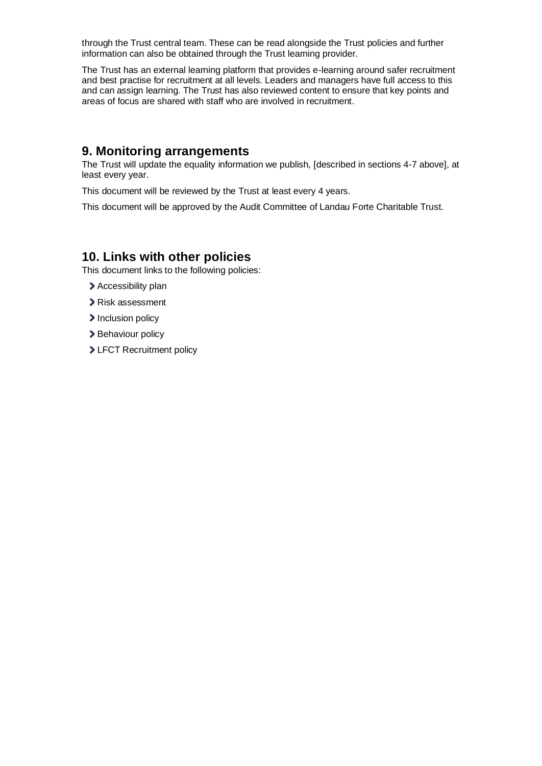through the Trust central team. These can be read alongside the Trust policies and further information can also be obtained through the Trust learning provider.

The Trust has an external learning platform that provides e-learning around safer recruitment and best practise for recruitment at all levels. Leaders and managers have full access to this and can assign learning. The Trust has also reviewed content to ensure that key points and areas of focus are shared with staff who are involved in recruitment.

#### <span id="page-5-0"></span>**9. Monitoring arrangements**

The Trust will update the equality information we publish, [described in sections 4-7 above], at least every year.

This document will be reviewed by the Trust at least every 4 years.

This document will be approved by the Audit Committee of Landau Forte Charitable Trust.

## <span id="page-5-1"></span>**10. Links with other policies**

This document links to the following policies:

- > Accessibility plan
- Risk assessment
- Inclusion policy
- > Behaviour policy
- > LFCT Recruitment policy